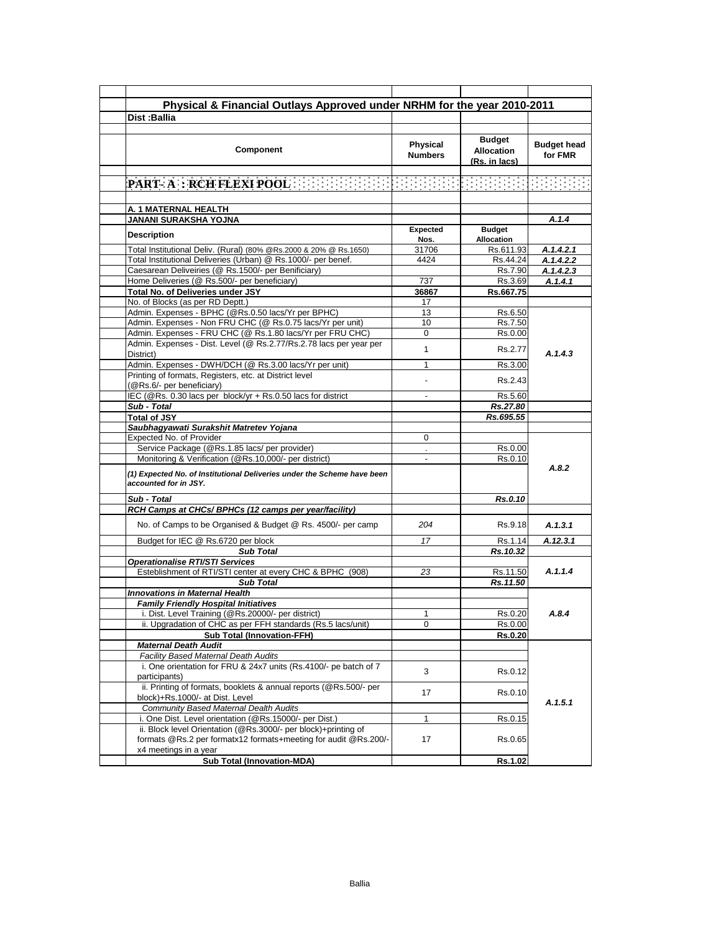| Physical & Financial Outlays Approved under NRHM for the year 2010-2011                                                           |                                   |                                                     |                               |
|-----------------------------------------------------------------------------------------------------------------------------------|-----------------------------------|-----------------------------------------------------|-------------------------------|
| Dist:Ballia                                                                                                                       |                                   |                                                     |                               |
|                                                                                                                                   |                                   |                                                     |                               |
| Component                                                                                                                         | <b>Physical</b><br><b>Numbers</b> | <b>Budget</b><br><b>Allocation</b><br>(Rs. in lacs) | <b>Budget head</b><br>for FMR |
|                                                                                                                                   |                                   |                                                     |                               |
|                                                                                                                                   |                                   |                                                     |                               |
| A. 1 MATERNAL HEALTH                                                                                                              |                                   |                                                     |                               |
| JANANI SURAKSHA YOJNA                                                                                                             |                                   |                                                     | A.1.4                         |
|                                                                                                                                   | <b>Expected</b>                   | <b>Budget</b>                                       |                               |
| Description                                                                                                                       | Nos.                              | <b>Allocation</b>                                   |                               |
| Total Institutional Deliv. (Rural) (80% @Rs.2000 & 20% @ Rs.1650)                                                                 | 31706                             | Rs.611.93                                           | A.1.4.2.1                     |
| Total Institutional Deliveries (Urban) @ Rs.1000/- per benef.                                                                     | 4424                              | Rs.44.24                                            | A.1.4.2.2                     |
| Caesarean Deliveiries (@ Rs.1500/- per Benificiary)                                                                               |                                   | Rs.7.90                                             | A.1.4.2.3                     |
| Home Deliveries (@ Rs.500/- per beneficiary)                                                                                      | 737                               | Rs.3.69                                             | A.1.4.1                       |
| Total No. of Deliveries under JSY                                                                                                 | 36867                             | Rs.667.75                                           |                               |
| No. of Blocks (as per RD Deptt.)                                                                                                  | 17                                |                                                     |                               |
| Admin. Expenses - BPHC (@Rs.0.50 lacs/Yr per BPHC)                                                                                | 13                                | Rs.6.50                                             |                               |
| Admin. Expenses - Non FRU CHC (@ Rs.0.75 lacs/Yr per unit)                                                                        | 10                                | Rs.7.50                                             |                               |
| Admin. Expenses - FRU CHC (@ Rs.1.80 lacs/Yr per FRU CHC)                                                                         | 0                                 | Rs.0.00                                             |                               |
| Admin. Expenses - Dist. Level (@ Rs.2.77/Rs.2.78 lacs per year per<br>District)                                                   | 1                                 | Rs.2.77                                             | A.1.4.3                       |
| Admin. Expenses - DWH/DCH (@ Rs.3.00 lacs/Yr per unit)                                                                            | 1                                 | Rs.3.00                                             |                               |
| Printing of formats, Registers, etc. at District level<br>(@Rs.6/- per beneficiary)                                               |                                   | Rs.2.43                                             |                               |
| IEC (@Rs. 0.30 lacs per block/yr + Rs.0.50 lacs for district                                                                      |                                   | Rs.5.60                                             |                               |
| Sub - Total                                                                                                                       |                                   | Rs.27.80                                            |                               |
| <b>Total of JSY</b>                                                                                                               |                                   | Rs.695.55                                           |                               |
| Saubhaqyawati Surakshit Matretev Yojana                                                                                           |                                   |                                                     |                               |
| Expected No. of Provider                                                                                                          | 0                                 |                                                     |                               |
| Service Package (@Rs.1.85 lacs/ per provider)                                                                                     | $\mathcal{L}^{\mathcal{L}}$       | Rs.0.00                                             |                               |
| Monitoring & Verification (@Rs.10,000/- per district)                                                                             |                                   | Rs.0.10                                             |                               |
| (1) Expected No. of Institutional Deliveries under the Scheme have been<br>accounted for in JSY.                                  |                                   |                                                     | A.8.2                         |
| Sub - Total                                                                                                                       |                                   | Rs.0.10                                             |                               |
| RCH Camps at CHCs/ BPHCs (12 camps per year/facility)                                                                             |                                   |                                                     |                               |
| No. of Camps to be Organised & Budget @ Rs. 4500/- per camp                                                                       | 204                               | Rs.9.18                                             | A.1.3.1                       |
| Budget for IEC @ Rs.6720 per block                                                                                                | 17                                | Rs.1.14                                             | A.12.3.1                      |
| <b>Sub Total</b>                                                                                                                  |                                   | Rs.10.32                                            |                               |
| <b>Operationalise RTI/STI Services</b>                                                                                            |                                   |                                                     |                               |
| Esteblishment of RTI/STI center at every CHC & BPHC (908)                                                                         | 23                                | Rs.11.50                                            | A.1.1.4                       |
| <b>Sub Total</b>                                                                                                                  |                                   | Rs.11.50                                            |                               |
| <b>Innovations in Maternal Health</b>                                                                                             |                                   |                                                     |                               |
| <b>Family Friendly Hospital Initiatives</b>                                                                                       |                                   |                                                     |                               |
| i. Dist. Level Training (@Rs.20000/- per district)                                                                                | 1                                 | Rs.0.20                                             | A.8.4                         |
| ii. Upgradation of CHC as per FFH standards (Rs.5 lacs/unit)                                                                      | 0                                 | Rs.0.00                                             |                               |
| <b>Sub Total (Innovation-FFH)</b>                                                                                                 |                                   | Rs.0.20                                             |                               |
| <b>Maternal Death Audit</b>                                                                                                       |                                   |                                                     |                               |
| <b>Facility Based Maternal Death Audits</b>                                                                                       |                                   |                                                     |                               |
| i. One orientation for FRU & 24x7 units (Rs.4100/- pe batch of 7<br>participants)                                                 | 3                                 | Rs.0.12                                             |                               |
| ii. Printing of formats, booklets & annual reports (@Rs.500/- per<br>block)+Rs.1000/- at Dist. Level                              | 17                                | Rs.0.10                                             |                               |
| <b>Community Based Maternal Dealth Audits</b>                                                                                     |                                   |                                                     | A.1.5.1                       |
| i. One Dist. Level orientation (@Rs.15000/- per Dist.)                                                                            | $\mathbf{1}$                      | Rs.0.15                                             |                               |
| ii. Block level Orientation (@Rs.3000/- per block)+printing of<br>formats @Rs.2 per formatx12 formats+meeting for audit @Rs.200/- | 17                                | Rs.0.65                                             |                               |
| x4 meetings in a year                                                                                                             |                                   |                                                     |                               |
| <b>Sub Total (Innovation-MDA)</b>                                                                                                 |                                   | Rs.1.02                                             |                               |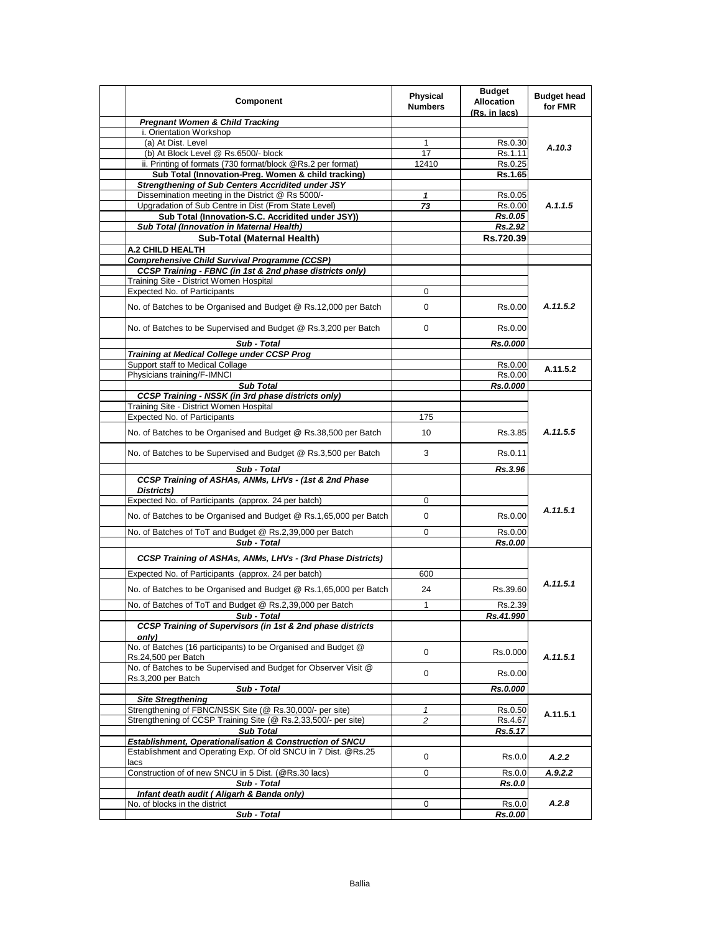| Component                                                                            | <b>Physical</b><br><b>Numbers</b> | <b>Budget</b><br><b>Allocation</b><br>(Rs. in lacs) | <b>Budget head</b><br>for FMR |
|--------------------------------------------------------------------------------------|-----------------------------------|-----------------------------------------------------|-------------------------------|
| <b>Pregnant Women &amp; Child Tracking</b>                                           |                                   |                                                     |                               |
| i. Orientation Workshop                                                              |                                   |                                                     |                               |
| (a) At Dist. Level                                                                   | 1                                 | Rs.0.30                                             | A.10.3                        |
| (b) At Block Level @ Rs.6500/- block                                                 | 17                                | Rs.1.11                                             |                               |
| ii. Printing of formats (730 format/block @Rs.2 per format)                          | 12410                             | Rs.0.25                                             |                               |
| Sub Total (Innovation-Preg. Women & child tracking)                                  |                                   | Rs.1.65                                             |                               |
| <b>Strengthening of Sub Centers Accridited under JSY</b>                             |                                   |                                                     |                               |
| Dissemination meeting in the District @ Rs 5000/-                                    | 1                                 | Rs.0.05                                             |                               |
| Upgradation of Sub Centre in Dist (From State Level)                                 | 73                                | Rs.0.00                                             | A.1.1.5                       |
| Sub Total (Innovation-S.C. Accridited under JSY))                                    |                                   | Rs.0.05                                             |                               |
| Sub Total (Innovation in Maternal Health)                                            |                                   | Rs.2.92                                             |                               |
| Sub-Total (Maternal Health)                                                          |                                   | Rs.720.39                                           |                               |
| <b>A.2 CHILD HEALTH</b>                                                              |                                   |                                                     |                               |
| <b>Comprehensive Child Survival Programme (CCSP)</b>                                 |                                   |                                                     |                               |
| CCSP Training - FBNC (in 1st & 2nd phase districts only)                             |                                   |                                                     |                               |
| Training Site - District Women Hospital                                              |                                   |                                                     |                               |
| <b>Expected No. of Participants</b>                                                  | 0                                 |                                                     |                               |
| No. of Batches to be Organised and Budget @ Rs.12,000 per Batch                      | 0                                 | Rs.0.00                                             | A.11.5.2                      |
| No. of Batches to be Supervised and Budget @ Rs.3,200 per Batch                      | $\mathbf 0$                       | Rs.0.00                                             |                               |
| Sub - Total                                                                          |                                   | Rs.0.000                                            |                               |
| Training at Medical College under CCSP Prog                                          |                                   |                                                     |                               |
| Support staff to Medical Collage                                                     |                                   | Rs.0.00                                             |                               |
| Physicians training/F-IMNCI                                                          |                                   | Rs.0.00                                             | A.11.5.2                      |
| <b>Sub Total</b>                                                                     |                                   | Rs.0.000                                            |                               |
| <b>CCSP Training - NSSK (in 3rd phase districts only)</b>                            |                                   |                                                     |                               |
| Training Site - District Women Hospital                                              |                                   |                                                     |                               |
| Expected No. of Participants                                                         | 175                               |                                                     |                               |
|                                                                                      |                                   |                                                     |                               |
| No. of Batches to be Organised and Budget @ Rs.38,500 per Batch                      | 10                                | Rs.3.85                                             | A.11.5.5                      |
| No. of Batches to be Supervised and Budget @ Rs.3,500 per Batch                      | 3                                 | Rs.0.11                                             |                               |
| Sub - Total                                                                          |                                   | Rs.3.96                                             |                               |
| CCSP Training of ASHAs, ANMs, LHVs - (1st & 2nd Phase<br>Districts)                  |                                   |                                                     |                               |
| Expected No. of Participants (approx. 24 per batch)                                  | 0                                 |                                                     |                               |
|                                                                                      |                                   |                                                     | A.11.5.1                      |
| No. of Batches to be Organised and Budget @ Rs.1,65,000 per Batch                    | $\mathbf 0$                       | Rs.0.00                                             |                               |
| No. of Batches of ToT and Budget @ Rs.2,39,000 per Batch                             | 0                                 | Rs.0.00                                             |                               |
| Sub - Total                                                                          |                                   | Rs.0.00                                             |                               |
| CCSP Training of ASHAs, ANMs, LHVs - (3rd Phase Districts)                           |                                   |                                                     |                               |
| Expected No. of Participants (approx. 24 per batch)                                  | 600                               |                                                     |                               |
| No. of Batches to be Organised and Budget @ Rs.1,65,000 per Batch                    | 24                                | Rs.39.60                                            | A.11.5.1                      |
| No. of Batches of ToT and Budget @ Rs.2,39,000 per Batch                             | $\mathbf{1}$                      | Rs.2.39                                             |                               |
| Sub - Total                                                                          |                                   | Rs.41.990                                           |                               |
| CCSP Training of Supervisors (in 1st & 2nd phase districts<br>only)                  |                                   |                                                     |                               |
| No. of Batches (16 participants) to be Organised and Budget @<br>Rs.24,500 per Batch | 0                                 | Rs.0.000                                            | A.11.5.1                      |
| No. of Batches to be Supervised and Budget for Observer Visit @                      | 0                                 | Rs.0.00                                             |                               |
| Rs.3,200 per Batch<br>Sub - Total                                                    |                                   | Rs.0.000                                            |                               |
| <b>Site Stregthening</b>                                                             |                                   |                                                     |                               |
| Strengthening of FBNC/NSSK Site (@ Rs.30,000/- per site)                             | 1                                 | Rs.0.50                                             |                               |
| Strengthening of CCSP Training Site (@ Rs.2,33,500/- per site)                       | 2                                 | Rs.4.67                                             | A.11.5.1                      |
| <b>Sub Total</b>                                                                     |                                   | Rs.5.17                                             |                               |
| Establishment, Operationalisation & Construction of SNCU                             |                                   |                                                     |                               |
| Establishment and Operating Exp. Of old SNCU in 7 Dist. @Rs.25                       |                                   |                                                     |                               |
| lacs                                                                                 | 0                                 | Rs.0.0                                              | A.2.2                         |
| Construction of of new SNCU in 5 Dist. (@Rs.30 lacs)                                 | 0                                 | Rs.0.0                                              | A.9.2.2                       |
| Sub - Total                                                                          |                                   | Rs.0.0                                              |                               |
| Infant death audit ( Aligarh & Banda only)                                           |                                   |                                                     |                               |
| No. of blocks in the district                                                        | 0                                 | Rs.0.0                                              | A.2.8                         |
| Sub - Total                                                                          |                                   | Rs.0.00                                             |                               |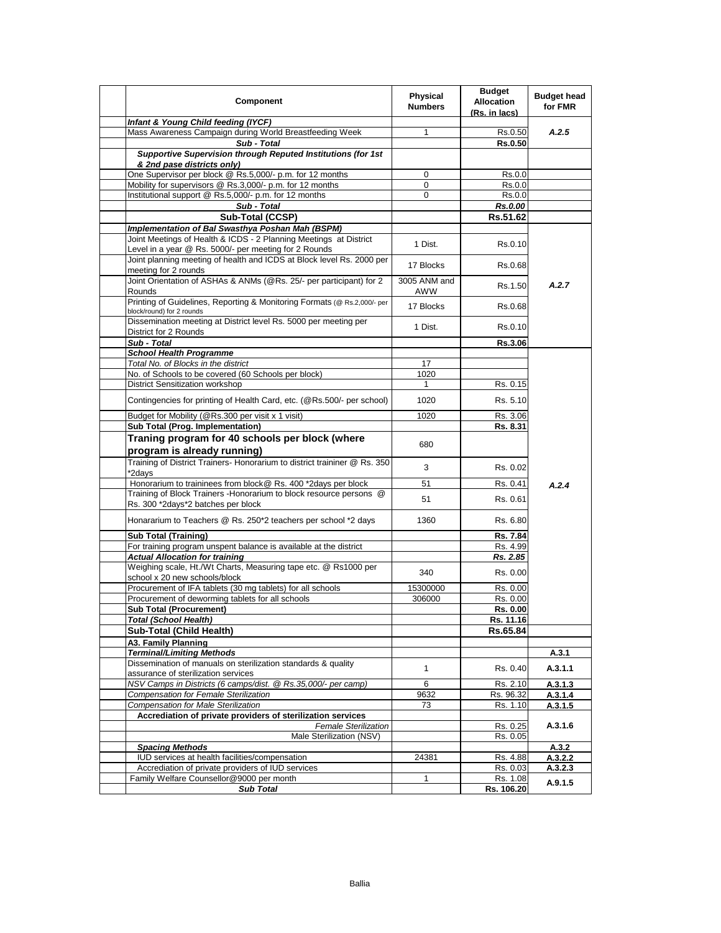| Component                                                                                                                  | <b>Physical</b><br><b>Numbers</b> | <b>Budget</b><br><b>Allocation</b><br>(Rs. in lacs) | <b>Budget head</b><br>for FMR |
|----------------------------------------------------------------------------------------------------------------------------|-----------------------------------|-----------------------------------------------------|-------------------------------|
| Infant & Young Child feeding (IYCF)                                                                                        |                                   |                                                     |                               |
| Mass Awareness Campaign during World Breastfeeding Week<br>Sub - Total                                                     | 1                                 | Rs.0.50<br><b>Rs.0.50</b>                           | A.2.5                         |
| Supportive Supervision through Reputed Institutions (for 1st                                                               |                                   |                                                     |                               |
| & 2nd pase districts only)                                                                                                 |                                   |                                                     |                               |
| One Supervisor per block @ Rs.5,000/- p.m. for 12 months                                                                   | 0                                 | Rs.0.0                                              |                               |
| Mobility for supervisors @ Rs.3,000/- p.m. for 12 months                                                                   | 0                                 | Rs.0.0                                              |                               |
| Institutional support @ Rs.5,000/- p.m. for 12 months                                                                      | 0                                 | Rs.0.0                                              |                               |
| Sub - Total                                                                                                                |                                   | Rs.0.00                                             |                               |
| Sub-Total (CCSP)                                                                                                           |                                   | Rs.51.62                                            |                               |
| Implementation of Bal Swasthya Poshan Mah (BSPM)                                                                           |                                   |                                                     |                               |
| Joint Meetings of Health & ICDS - 2 Planning Meetings at District<br>Level in a year @ Rs. 5000/- per meeting for 2 Rounds | 1 Dist.                           | Rs.0.10                                             |                               |
| Joint planning meeting of health and ICDS at Block level Rs. 2000 per                                                      | 17 Blocks                         | Rs.0.68                                             |                               |
| meeting for 2 rounds                                                                                                       |                                   |                                                     |                               |
| Joint Orientation of ASHAs & ANMs (@Rs. 25/- per participant) for 2<br>Rounds                                              | 3005 ANM and<br>AWW               | Rs.1.50                                             | A.2.7                         |
| Printing of Guidelines, Reporting & Monitoring Formats (@ Rs.2,000/- per<br>block/round) for 2 rounds                      | 17 Blocks                         | Rs.0.68                                             |                               |
| Dissemination meeting at District level Rs. 5000 per meeting per<br>District for 2 Rounds                                  | 1 Dist.                           | Rs.0.10                                             |                               |
| Sub - Total                                                                                                                |                                   | <b>Rs.3.06</b>                                      |                               |
| <b>School Health Programme</b>                                                                                             |                                   |                                                     |                               |
| Total No. of Blocks in the district                                                                                        | 17                                |                                                     |                               |
| No. of Schools to be covered (60 Schools per block)                                                                        | 1020                              |                                                     |                               |
| <b>District Sensitization workshop</b>                                                                                     | 1                                 | Rs. 0.15                                            |                               |
| Contingencies for printing of Health Card, etc. (@Rs.500/- per school)                                                     | 1020                              | Rs. 5.10                                            |                               |
| Budget for Mobility (@Rs.300 per visit x 1 visit)                                                                          | 1020                              | Rs. 3.06                                            |                               |
| Sub Total (Prog. Implementation)                                                                                           |                                   | Rs. 8.31                                            |                               |
| Traning program for 40 schools per block (where                                                                            |                                   |                                                     |                               |
|                                                                                                                            | 680                               |                                                     |                               |
| program is already running)                                                                                                |                                   |                                                     |                               |
| Training of District Trainers- Honorarium to district traininer @ Rs. 350<br>*2days                                        | 3                                 | Rs. 0.02                                            |                               |
| Honorarium to traininees from block@ Rs. 400 *2days per block                                                              | 51                                | Rs. 0.41                                            | A.2.4                         |
| Training of Block Trainers - Honorarium to block resource persons @                                                        |                                   |                                                     |                               |
| Rs. 300 *2days*2 batches per block                                                                                         | 51                                | Rs. 0.61                                            |                               |
| Honararium to Teachers @ Rs. 250*2 teachers per school *2 days                                                             | 1360                              | Rs. 6.80                                            |                               |
| <b>Sub Total (Training)</b>                                                                                                |                                   | Rs. 7.84                                            |                               |
| For training program unspent balance is available at the district                                                          |                                   | Rs. 4.99                                            |                               |
| <b>Actual Allocation for training</b>                                                                                      |                                   | Rs. 2.85                                            |                               |
| Weighing scale, Ht./Wt Charts, Measuring tape etc. @ Rs1000 per<br>school x 20 new schools/block                           | 340                               | Rs. 0.00                                            |                               |
| Procurement of IFA tablets (30 mg tablets) for all schools                                                                 | 15300000                          | Rs. 0.00                                            |                               |
| Procurement of deworming tablets for all schools                                                                           | 306000                            | Rs. 0.00                                            |                               |
| <b>Sub Total (Procurement)</b>                                                                                             |                                   | Rs. 0.00                                            |                               |
| <b>Total (School Health)</b>                                                                                               |                                   | Rs. 11.16                                           |                               |
| Sub-Total (Child Health)                                                                                                   |                                   | Rs.65.84                                            |                               |
| A3. Family Planning                                                                                                        |                                   |                                                     |                               |
| <b>Terminal/Limiting Methods</b>                                                                                           |                                   |                                                     | A.3.1                         |
| Dissemination of manuals on sterilization standards & quality                                                              |                                   |                                                     |                               |
| assurance of sterilization services                                                                                        | 1                                 | Rs. 0.40                                            | A.3.1.1                       |
| NSV Camps in Districts (6 camps/dist. @ Rs.35,000/- per camp)                                                              | 6                                 | Rs. 2.10                                            | A.3.1.3                       |
| <b>Compensation for Female Sterilization</b>                                                                               | 9632                              | Rs. 96.32                                           | A.3.1.4                       |
| <b>Compensation for Male Sterilization</b>                                                                                 | 73                                | Rs. 1.10                                            | A.3.1.5                       |
| Accrediation of private providers of sterilization services                                                                |                                   |                                                     |                               |
| <b>Female Sterilization</b>                                                                                                |                                   | Rs. 0.25                                            | A.3.1.6                       |
| Male Sterilization (NSV)                                                                                                   |                                   | Rs. 0.05                                            |                               |
| <b>Spacing Methods</b>                                                                                                     |                                   |                                                     | A.3.2                         |
| IUD services at health facilities/compensation                                                                             | 24381                             | Rs. 4.88                                            | A.3.2.2                       |
| Accrediation of private providers of IUD services                                                                          |                                   | Rs. 0.03                                            | A.3.2.3                       |
| Family Welfare Counsellor@9000 per month                                                                                   | 1                                 | Rs. 1.08                                            | A.9.1.5                       |
| <b>Sub Total</b>                                                                                                           |                                   | Rs. 106.20                                          |                               |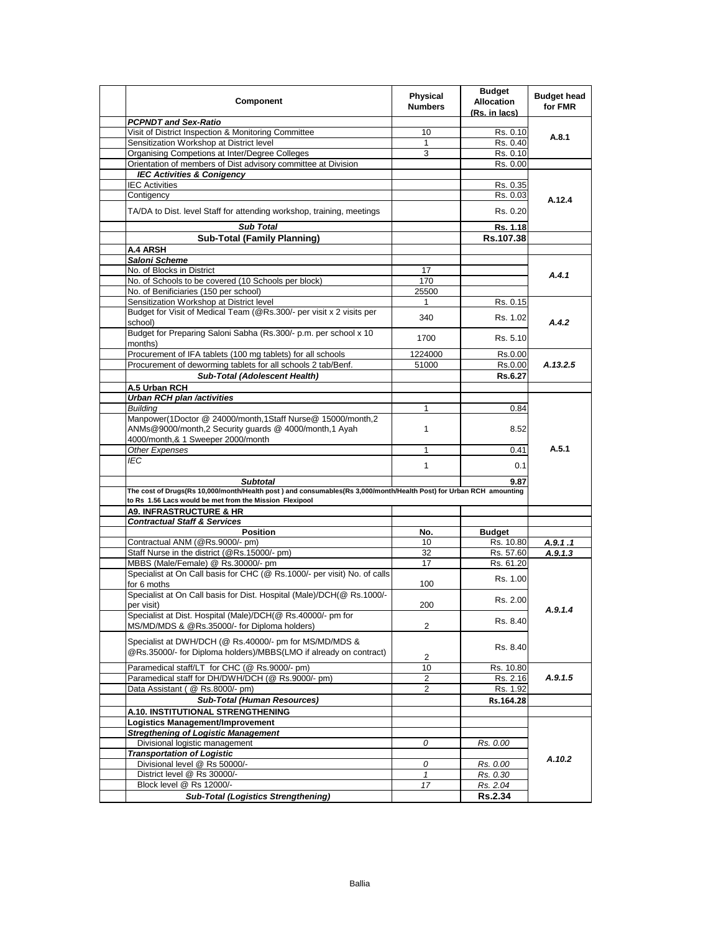| Component                                                                                                                             | Physical<br><b>Numbers</b> | <b>Budget</b><br><b>Allocation</b><br>(Rs. in lacs) | <b>Budget head</b><br>for FMR |
|---------------------------------------------------------------------------------------------------------------------------------------|----------------------------|-----------------------------------------------------|-------------------------------|
| <b>PCPNDT and Sex-Ratio</b>                                                                                                           |                            |                                                     |                               |
| Visit of District Inspection & Monitoring Committee                                                                                   | 10                         | Rs. 0.10                                            | A.8.1                         |
| Sensitization Workshop at District level                                                                                              | $\mathbf{1}$               | Rs. 0.40                                            |                               |
| Organising Competions at Inter/Degree Colleges                                                                                        | 3                          | Rs. 0.10                                            |                               |
| Orientation of members of Dist advisory committee at Division                                                                         |                            | Rs. 0.00                                            |                               |
| <b>IEC Activities &amp; Conigency</b>                                                                                                 |                            |                                                     |                               |
| <b>IEC Activities</b>                                                                                                                 |                            | Rs. 0.35                                            |                               |
| Contigency                                                                                                                            |                            | Rs. 0.03                                            | A.12.4                        |
| TA/DA to Dist. level Staff for attending workshop, training, meetings                                                                 |                            | Rs. 0.20                                            |                               |
| <b>Sub Total</b>                                                                                                                      |                            | Rs. 1.18                                            |                               |
| <b>Sub-Total (Family Planning)</b>                                                                                                    |                            | Rs.107.38                                           |                               |
| A.4 ARSH                                                                                                                              |                            |                                                     |                               |
| Saloni Scheme                                                                                                                         |                            |                                                     |                               |
| No. of Blocks in District                                                                                                             | 17                         |                                                     |                               |
| No. of Schools to be covered (10 Schools per block)                                                                                   | 170                        |                                                     | A.4.1                         |
| No. of Benificiaries (150 per school)                                                                                                 | 25500                      |                                                     |                               |
| Sensitization Workshop at District level                                                                                              | $\mathbf{1}$               | Rs. 0.15                                            |                               |
| Budget for Visit of Medical Team (@Rs.300/- per visit x 2 visits per                                                                  |                            |                                                     |                               |
| school)                                                                                                                               | 340                        | Rs. 1.02                                            | A.4.2                         |
| Budget for Preparing Saloni Sabha (Rs.300/- p.m. per school x 10<br>months)                                                           | 1700                       | Rs. 5.10                                            |                               |
| Procurement of IFA tablets (100 mg tablets) for all schools                                                                           | 1224000                    | Rs.0.00                                             |                               |
| Procurement of deworming tablets for all schools 2 tab/Benf.                                                                          | 51000                      | Rs.0.00                                             | A.13.2.5                      |
| Sub-Total (Adolescent Health)                                                                                                         |                            | Rs.6.27                                             |                               |
|                                                                                                                                       |                            |                                                     |                               |
| A.5 Urban RCH                                                                                                                         |                            |                                                     |                               |
| <b>Urban RCH plan /activities</b>                                                                                                     |                            |                                                     |                               |
| <b>Building</b>                                                                                                                       | 1                          | 0.84                                                |                               |
| Manpower(1Doctor @ 24000/month,1Staff Nurse@ 15000/month,2<br>ANMs@9000/month,2 Security guards @ 4000/month,1 Ayah                   | 1                          | 8.52                                                |                               |
| 4000/month,& 1 Sweeper 2000/month                                                                                                     |                            |                                                     | A.5.1                         |
| Other Expenses                                                                                                                        | 1                          | 0.41                                                |                               |
| <b>IEC</b>                                                                                                                            | 1                          | 0.1                                                 |                               |
|                                                                                                                                       |                            |                                                     |                               |
| <b>Subtotal</b><br>The cost of Drugs(Rs 10,000/month/Health post) and consumables(Rs 3,000/month/Health Post) for Urban RCH amounting |                            | 9.87                                                |                               |
| to Rs 1.56 Lacs would be met from the Mission Flexipool                                                                               |                            |                                                     |                               |
| <b>A9. INFRASTRUCTURE &amp; HR</b>                                                                                                    |                            |                                                     |                               |
| <b>Contractual Staff &amp; Services</b>                                                                                               |                            |                                                     |                               |
| Position                                                                                                                              | No.                        | <b>Budget</b>                                       |                               |
| Contractual ANM (@Rs.9000/- pm)                                                                                                       | 10                         | Rs. 10.80                                           | A.9.1.1                       |
| Staff Nurse in the district (@Rs.15000/- pm)                                                                                          | 32                         | Rs. 57.60                                           | A.9.1.3                       |
| MBBS (Male/Female) @ Rs.30000/- pm                                                                                                    | 17                         | Rs. 61.20                                           |                               |
| Specialist at On Call basis for CHC (@ Rs.1000/- per visit) No. of calls                                                              |                            | Rs. 1.00                                            |                               |
| for 6 moths                                                                                                                           | 100                        |                                                     |                               |
| Specialist at On Call basis for Dist. Hospital (Male)/DCH(@ Rs.1000/-<br>per visit)                                                   | 200                        | Rs. 2.00                                            |                               |
| Specialist at Dist. Hospital (Male)/DCH(@ Rs.40000/- pm for                                                                           |                            | Rs. 8.40                                            | A.9.1.4                       |
| MS/MD/MDS & @Rs.35000/- for Diploma holders)                                                                                          | $\overline{c}$             |                                                     |                               |
| Specialist at DWH/DCH (@ Rs.40000/- pm for MS/MD/MDS &<br>@Rs.35000/- for Diploma holders)/MBBS(LMO if already on contract)           | 2                          | Rs. 8.40                                            |                               |
| Paramedical staff/LT for CHC (@ Rs.9000/- pm)                                                                                         | 10                         | Rs. 10.80                                           |                               |
| Paramedical staff for DH/DWH/DCH (@ Rs.9000/- pm)                                                                                     |                            |                                                     | A.9.1.5                       |
|                                                                                                                                       | 2<br>2                     | Rs. 2.16                                            |                               |
| Data Assistant ( @ Rs.8000/- pm)                                                                                                      |                            | Rs. 1.92                                            |                               |
| <b>Sub-Total (Human Resources)</b>                                                                                                    |                            | Rs.164.28                                           |                               |
| A.10. INSTITUTIONAL STRENGTHENING                                                                                                     |                            |                                                     |                               |
| <b>Logistics Management/Improvement</b>                                                                                               |                            |                                                     |                               |
| <b>Stregthening of Logistic Management</b>                                                                                            |                            |                                                     |                               |
| Divisional logistic management                                                                                                        | 0                          | Rs. 0.00                                            |                               |
| <b>Transportation of Logistic</b>                                                                                                     |                            |                                                     | A.10.2                        |
| Divisional level @ Rs 50000/-                                                                                                         | 0                          | Rs. 0.00                                            |                               |
| District level @ Rs 30000/-                                                                                                           | $\mathbf{1}$               | Rs. 0.30                                            |                               |
| Block level @ Rs 12000/-                                                                                                              | 17                         | Rs. 2.04                                            |                               |
| <b>Sub-Total (Logistics Strengthening)</b>                                                                                            |                            | <b>Rs.2.34</b>                                      |                               |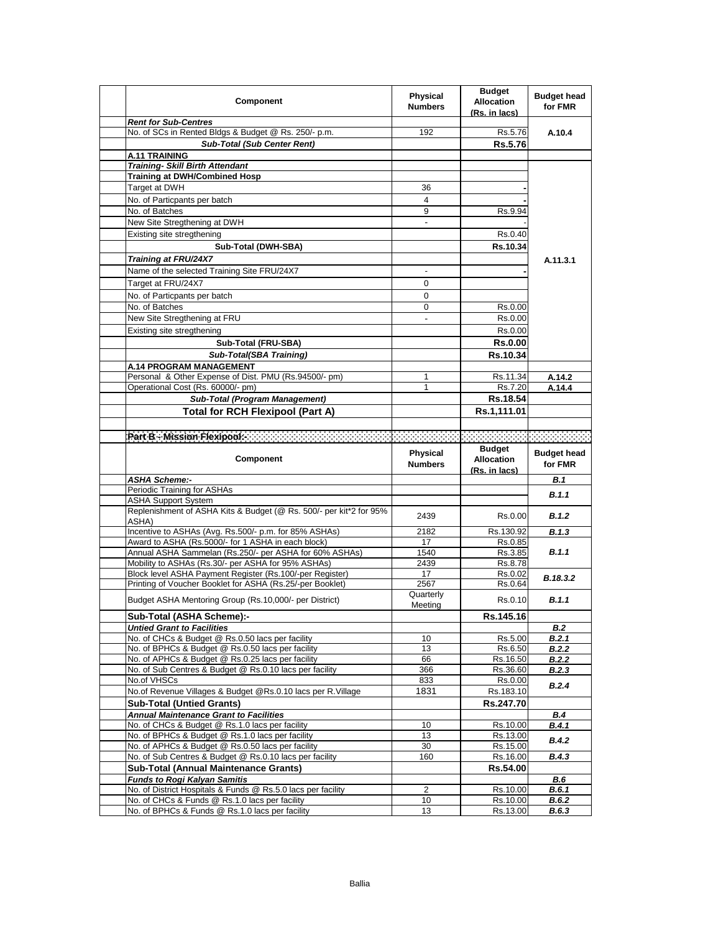| Component                                                                                                           | Physical<br><b>Numbers</b> | <b>Budget</b><br><b>Allocation</b><br>(Rs. in lacs) | <b>Budget head</b><br>for FMR |
|---------------------------------------------------------------------------------------------------------------------|----------------------------|-----------------------------------------------------|-------------------------------|
| <b>Rent for Sub-Centres</b>                                                                                         |                            |                                                     |                               |
| No. of SCs in Rented Bldgs & Budget @ Rs. 250/- p.m.                                                                | 192                        | Rs.5.76                                             | A.10.4                        |
| <b>Sub-Total (Sub Center Rent)</b>                                                                                  |                            | Rs.5.76                                             |                               |
| <b>A.11 TRAINING</b>                                                                                                |                            |                                                     |                               |
| <b>Training- Skill Birth Attendant</b>                                                                              |                            |                                                     |                               |
| <b>Training at DWH/Combined Hosp</b><br>Target at DWH                                                               |                            |                                                     |                               |
|                                                                                                                     | 36                         |                                                     |                               |
| No. of Particpants per batch                                                                                        | 4                          |                                                     |                               |
| No. of Batches                                                                                                      | 9                          | Rs.9.94                                             |                               |
| New Site Stregthening at DWH                                                                                        | L.                         |                                                     |                               |
| Existing site stregthening                                                                                          |                            | Rs.0.40                                             |                               |
| Sub-Total (DWH-SBA)                                                                                                 |                            | Rs.10.34                                            |                               |
| <b>Training at FRU/24X7</b>                                                                                         |                            |                                                     | A.11.3.1                      |
| Name of the selected Training Site FRU/24X7                                                                         | $\overline{\phantom{a}}$   |                                                     |                               |
| Target at FRU/24X7                                                                                                  | 0                          |                                                     |                               |
| No. of Particpants per batch                                                                                        | $\mathbf 0$                |                                                     |                               |
| No. of Batches                                                                                                      | 0                          | Rs.0.00                                             |                               |
| New Site Stregthening at FRU                                                                                        | $\blacksquare$             | Rs.0.00                                             |                               |
| Existing site stregthening                                                                                          |                            | Rs.0.00                                             |                               |
| Sub-Total (FRU-SBA)                                                                                                 |                            | <b>Rs.0.00</b>                                      |                               |
| Sub-Total(SBA Training)                                                                                             |                            | Rs.10.34                                            |                               |
| A.14 PROGRAM MANAGEMENT                                                                                             |                            |                                                     |                               |
| Personal & Other Expense of Dist. PMU (Rs.94500/- pm)                                                               | 1                          | Rs.11.34                                            | A.14.2                        |
| Operational Cost (Rs. 60000/- pm)                                                                                   | 1                          | Rs.7.20                                             | A.14.4                        |
| Sub-Total (Program Management)                                                                                      |                            | Rs.18.54                                            |                               |
| <b>Total for RCH Flexipool (Part A)</b>                                                                             |                            | Rs.1,111.01                                         |                               |
|                                                                                                                     |                            |                                                     |                               |
| Part Bio Mission Pleanpoole and an annual and an annual and an annual and an annual and an annual and an an an      |                            |                                                     |                               |
|                                                                                                                     |                            | <b>Budget</b>                                       |                               |
| Component                                                                                                           | Physical                   |                                                     | <b>Budget head</b>            |
|                                                                                                                     | <b>Numbers</b>             | <b>Allocation</b>                                   | for FMR                       |
|                                                                                                                     |                            | (Rs. in lacs)                                       |                               |
| ASHA Scheme:-<br>Periodic Training for ASHAs                                                                        |                            |                                                     | B.1                           |
| <b>ASHA Support System</b>                                                                                          |                            |                                                     | B.1.1                         |
| Replenishment of ASHA Kits & Budget (@ Rs. 500/- per kit*2 for 95%<br>ASHA)                                         | 2439                       | Rs.0.00                                             | B.1.2                         |
| Incentive to ASHAs (Avg. Rs.500/- p.m. for 85% ASHAs)                                                               | 2182                       | Rs.130.92                                           | B.1.3                         |
| Award to ASHA (Rs.5000/- for 1 ASHA in each block)                                                                  | 17                         | Rs.0.85                                             |                               |
| Annual ASHA Sammelan (Rs.250/- per ASHA for 60% ASHAs)                                                              | 1540                       | Rs.3.85                                             | B.1.1                         |
| Mobility to ASHAs (Rs.30/- per ASHA for 95% ASHAs)                                                                  | 2439                       | Rs.8.78                                             |                               |
| Block level ASHA Payment Register (Rs.100/-per Register)                                                            | 17                         | Rs.0.02                                             | B.18.3.2                      |
| Printing of Voucher Booklet for ASHA (Rs.25/-per Booklet)<br>Budget ASHA Mentoring Group (Rs.10,000/- per District) | 2567<br>Quarterly          | Rs.0.64<br>Rs.0.10                                  | B.1.1                         |
|                                                                                                                     | Meeting                    |                                                     |                               |
| Sub-Total (ASHA Scheme):-                                                                                           |                            | Rs.145.16                                           |                               |
| <b>Untied Grant to Facilities</b>                                                                                   |                            |                                                     | B.2                           |
| No. of CHCs & Budget @ Rs.0.50 lacs per facility                                                                    | 10                         | Rs.5.00                                             | B.2.1                         |
| No. of BPHCs & Budget @ Rs.0.50 lacs per facility                                                                   | 13                         | Rs.6.50                                             | B.2.2                         |
| No. of APHCs & Budget @ Rs.0.25 lacs per facility                                                                   | 66                         | Rs.16.50                                            | B.2.2                         |
| No. of Sub Centres & Budget @ Rs.0.10 lacs per facility                                                             | 366                        | Rs.36.60                                            | B.2.3                         |
| No.of VHSCs<br>No.of Revenue Villages & Budget @Rs.0.10 lacs per R.Village                                          | 833<br>1831                | Rs.0.00<br>Rs.183.10                                | B.2.4                         |
|                                                                                                                     |                            |                                                     |                               |
| <b>Sub-Total (Untied Grants)</b>                                                                                    |                            | Rs.247.70                                           |                               |
| <b>Annual Maintenance Grant to Facilities</b><br>No. of CHCs & Budget @ Rs.1.0 lacs per facility                    | 10                         | Rs.10.00                                            | <b>B.4</b><br><b>B.4.1</b>    |
| No. of BPHCs & Budget @ Rs.1.0 lacs per facility                                                                    | 13                         | Rs.13.00                                            |                               |
| No. of APHCs & Budget @ Rs.0.50 lacs per facility                                                                   | 30                         | Rs.15.00                                            | B.4.2                         |
| No. of Sub Centres & Budget @ Rs.0.10 lacs per facility                                                             | 160                        | Rs.16.00                                            | <b>B.4.3</b>                  |
| <b>Sub-Total (Annual Maintenance Grants)</b>                                                                        |                            | Rs.54.00                                            |                               |
| <b>Funds to Rogi Kalyan Samitis</b>                                                                                 |                            |                                                     | <b>B.6</b>                    |
| No. of District Hospitals & Funds @ Rs.5.0 lacs per facility                                                        | $\mathbf{2}$               | Rs.10.00                                            | B.6.1                         |
| No. of CHCs & Funds @ Rs.1.0 lacs per facility<br>No. of BPHCs & Funds @ Rs.1.0 lacs per facility                   | 10<br>13                   | Rs.10.00<br>Rs.13.00                                | B.6.2<br>B.6.3                |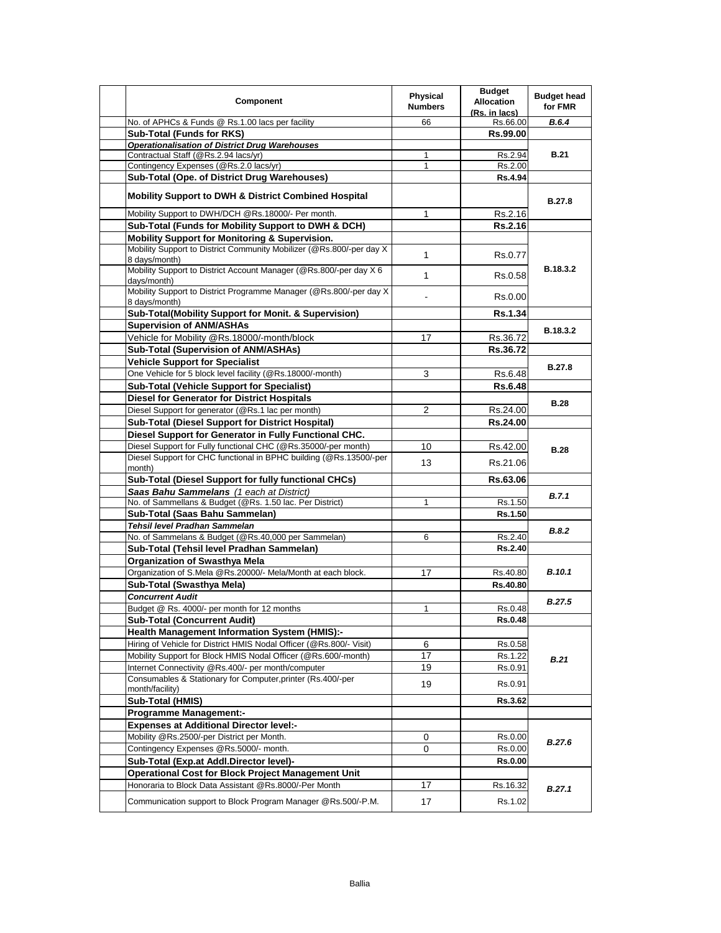| Component                                                                                                                            | <b>Physical</b><br><b>Numbers</b> | <b>Budget</b><br><b>Allocation</b><br>(Rs. in lacs) | <b>Budget head</b><br>for FMR |
|--------------------------------------------------------------------------------------------------------------------------------------|-----------------------------------|-----------------------------------------------------|-------------------------------|
| No. of APHCs & Funds @ Rs.1.00 lacs per facility                                                                                     | 66                                | Rs.66.00                                            | B.6.4                         |
| Sub-Total (Funds for RKS)                                                                                                            |                                   | Rs.99.00                                            |                               |
| <b>Operationalisation of District Drug Warehouses</b>                                                                                |                                   |                                                     |                               |
| Contractual Staff (@Rs.2.94 lacs/yr)                                                                                                 | $\mathbf{1}$                      | Rs.2.94                                             | <b>B.21</b>                   |
| Contingency Expenses (@Rs.2.0 lacs/yr)                                                                                               | $\mathbf{1}$                      | Rs.2.00                                             |                               |
| Sub-Total (Ope. of District Drug Warehouses)                                                                                         |                                   | <b>Rs.4.94</b>                                      |                               |
| Mobility Support to DWH & District Combined Hospital                                                                                 |                                   |                                                     | <b>B.27.8</b>                 |
| Mobility Support to DWH/DCH @Rs.18000/- Per month.                                                                                   | 1                                 | Rs.2.16                                             |                               |
| Sub-Total (Funds for Mobility Support to DWH & DCH)                                                                                  |                                   | <b>Rs.2.16</b>                                      |                               |
| Mobility Support for Monitoring & Supervision.                                                                                       |                                   |                                                     |                               |
| Mobility Support to District Community Mobilizer (@Rs.800/-per day X<br>8 days/month)                                                | 1                                 | Rs.0.77                                             |                               |
| Mobility Support to District Account Manager (@Rs.800/-per day X 6<br>days/month)                                                    | 1                                 | Rs.0.58                                             | <b>B.18.3.2</b>               |
| Mobility Support to District Programme Manager (@Rs.800/-per day X)<br>8 days/month)                                                 |                                   | Rs.0.00                                             |                               |
| Sub-Total(Mobility Support for Monit. & Supervision)                                                                                 |                                   | <b>Rs.1.34</b>                                      |                               |
| <b>Supervision of ANM/ASHAs</b>                                                                                                      |                                   |                                                     | B.18.3.2                      |
| Vehicle for Mobility @Rs.18000/-month/block                                                                                          | 17                                | Rs.36.72                                            |                               |
| <b>Sub-Total (Supervision of ANM/ASHAs)</b>                                                                                          |                                   | Rs.36.72                                            |                               |
| <b>Vehicle Support for Specialist</b>                                                                                                |                                   |                                                     |                               |
| One Vehicle for 5 block level facility (@Rs.18000/-month)                                                                            | 3                                 | Rs.6.48                                             | <b>B.27.8</b>                 |
| <b>Sub-Total (Vehicle Support for Specialist)</b>                                                                                    |                                   | <b>Rs.6.48</b>                                      |                               |
| <b>Diesel for Generator for District Hospitals</b>                                                                                   |                                   |                                                     |                               |
| Diesel Support for generator (@Rs.1 lac per month)                                                                                   | 2                                 | Rs.24.00                                            | <b>B.28</b>                   |
| <b>Sub-Total (Diesel Support for District Hospital)</b>                                                                              |                                   | Rs.24.00                                            |                               |
|                                                                                                                                      |                                   |                                                     |                               |
| Diesel Support for Generator in Fully Functional CHC.                                                                                |                                   |                                                     |                               |
| Diesel Support for Fully functional CHC (@Rs.35000/-per month)<br>Diesel Support for CHC functional in BPHC building (@Rs.13500/-per | 10                                | Rs.42.00                                            | <b>B.28</b>                   |
| month)                                                                                                                               | 13                                | Rs.21.06                                            |                               |
| Sub-Total (Diesel Support for fully functional CHCs)                                                                                 |                                   | Rs.63.06                                            |                               |
| Saas Bahu Sammelans (1 each at District)                                                                                             |                                   |                                                     |                               |
| No. of Sammellans & Budget (@Rs. 1.50 lac. Per District)                                                                             | 1                                 | Rs.1.50                                             | B.7.1                         |
| Sub-Total (Saas Bahu Sammelan)                                                                                                       |                                   | Rs.1.50                                             |                               |
| Tehsil level Pradhan Sammelan                                                                                                        |                                   |                                                     |                               |
| No. of Sammelans & Budget (@Rs.40,000 per Sammelan)                                                                                  | 6                                 | Rs.2.40                                             | <b>B.8.2</b>                  |
| Sub-Total (Tehsil level Pradhan Sammelan)                                                                                            |                                   | Rs.2.40                                             |                               |
| <b>Organization of Swasthya Mela</b>                                                                                                 |                                   |                                                     |                               |
| Organization of S.Mela @Rs.20000/- Mela/Month at each block.                                                                         | 17                                | Rs.40.80                                            | <b>B.10.1</b>                 |
| Sub-Total (Swasthva Mela)                                                                                                            |                                   | Rs.40.80                                            |                               |
| <b>Concurrent Audit</b>                                                                                                              |                                   |                                                     |                               |
| Budget @ Rs. 4000/- per month for 12 months                                                                                          | 1                                 | Rs.0.48                                             | <b>B.27.5</b>                 |
|                                                                                                                                      |                                   | Rs.0.48                                             |                               |
| <b>Sub-Total (Concurrent Audit)</b><br><b>Health Management Information System (HMIS):-</b>                                          |                                   |                                                     |                               |
|                                                                                                                                      |                                   |                                                     |                               |
| Hiring of Vehicle for District HMIS Nodal Officer (@Rs.800/- Visit)                                                                  | 6                                 | Rs.0.58                                             |                               |
| Mobility Support for Block HMIS Nodal Officer (@Rs.600/-month)                                                                       | 17                                | Rs.1.22                                             | B.21                          |
| Internet Connectivity @Rs.400/- per month/computer<br>Consumables & Stationary for Computer, printer (Rs.400/-per                    | 19                                | Rs.0.91                                             |                               |
| month/facility)                                                                                                                      | 19                                | Rs.0.91                                             |                               |
| Sub-Total (HMIS)                                                                                                                     |                                   | <b>Rs.3.62</b>                                      |                               |
| <b>Programme Management:-</b>                                                                                                        |                                   |                                                     |                               |
| <b>Expenses at Additional Director level:-</b>                                                                                       |                                   |                                                     |                               |
| Mobility @Rs.2500/-per District per Month.                                                                                           | 0                                 | Rs.0.00                                             |                               |
| Contingency Expenses @Rs.5000/- month.                                                                                               | $\Omega$                          | Rs.0.00                                             | B.27.6                        |
| Sub-Total (Exp.at Addl.Director level)-                                                                                              |                                   | <b>Rs.0.00</b>                                      |                               |
| Operational Cost for Block Project Management Unit                                                                                   |                                   |                                                     |                               |
| Honoraria to Block Data Assistant @Rs.8000/-Per Month                                                                                | 17                                | Rs.16.32                                            |                               |
|                                                                                                                                      |                                   |                                                     | B.27.1                        |
| Communication support to Block Program Manager @Rs.500/-P.M.                                                                         | 17                                | Rs.1.02                                             |                               |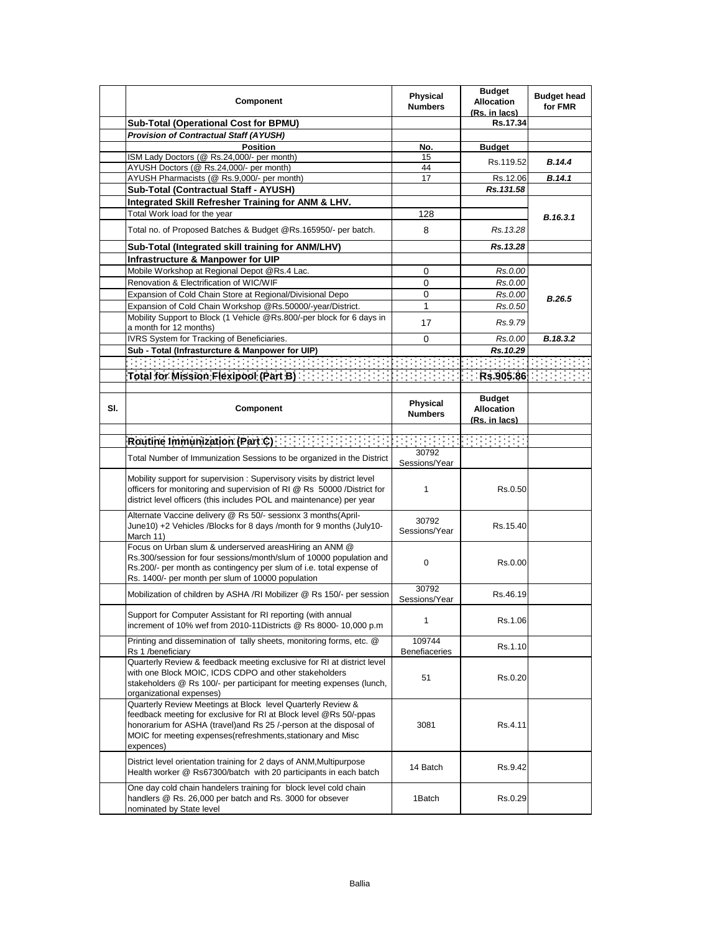|     | Component                                                                                                                                                                                                                                                                          | <b>Physical</b><br><b>Numbers</b> | <b>Budget</b><br><b>Allocation</b><br>(Rs. in lacs) | <b>Budget head</b><br>for FMR |
|-----|------------------------------------------------------------------------------------------------------------------------------------------------------------------------------------------------------------------------------------------------------------------------------------|-----------------------------------|-----------------------------------------------------|-------------------------------|
|     | Sub-Total (Operational Cost for BPMU)                                                                                                                                                                                                                                              |                                   | Rs.17.34                                            |                               |
|     | <b>Provision of Contractual Staff (AYUSH)</b>                                                                                                                                                                                                                                      |                                   |                                                     |                               |
|     | <b>Position</b>                                                                                                                                                                                                                                                                    | No.                               | <b>Budget</b>                                       |                               |
|     | ISM Lady Doctors (@ Rs.24,000/- per month)                                                                                                                                                                                                                                         | 15                                | Rs.119.52                                           | B.14.4                        |
|     | AYUSH Doctors (@ Rs.24,000/- per month)                                                                                                                                                                                                                                            | 44                                |                                                     |                               |
|     | AYUSH Pharmacists (@ Rs.9,000/- per month)                                                                                                                                                                                                                                         | 17                                | Rs.12.06                                            | B.14.1                        |
|     | Sub-Total (Contractual Staff - AYUSH)                                                                                                                                                                                                                                              |                                   | Rs.131.58                                           |                               |
|     | Integrated Skill Refresher Training for ANM & LHV.                                                                                                                                                                                                                                 |                                   |                                                     |                               |
|     | Total Work load for the year                                                                                                                                                                                                                                                       | 128                               |                                                     | B.16.3.1                      |
|     | Total no. of Proposed Batches & Budget @Rs.165950/- per batch.                                                                                                                                                                                                                     | 8                                 | Rs. 13.28                                           |                               |
|     | Sub-Total (Integrated skill training for ANM/LHV)                                                                                                                                                                                                                                  |                                   | Rs.13.28                                            |                               |
|     | Infrastructure & Manpower for UIP                                                                                                                                                                                                                                                  |                                   |                                                     |                               |
|     | Mobile Workshop at Regional Depot @Rs.4 Lac.                                                                                                                                                                                                                                       | 0                                 | Rs.0.00                                             |                               |
|     | Renovation & Electrification of WIC/WIF                                                                                                                                                                                                                                            | 0                                 | Rs.0.00                                             |                               |
|     | Expansion of Cold Chain Store at Regional/Divisional Depo                                                                                                                                                                                                                          | 0                                 | Rs.0.00                                             |                               |
|     | Expansion of Cold Chain Workshop @Rs.50000/-year/District.                                                                                                                                                                                                                         | 1                                 | Rs.0.50                                             | B.26.5                        |
|     | Mobility Support to Block (1 Vehicle @Rs.800/-per block for 6 days in                                                                                                                                                                                                              |                                   |                                                     |                               |
|     | a month for 12 months)                                                                                                                                                                                                                                                             | 17                                | Rs.9.79                                             |                               |
|     | IVRS System for Tracking of Beneficiaries.                                                                                                                                                                                                                                         | 0                                 | Rs.0.00                                             | B.18.3.2                      |
|     | Sub - Total (Infrasturcture & Manpower for UIP)                                                                                                                                                                                                                                    |                                   | Rs.10.29                                            |                               |
|     |                                                                                                                                                                                                                                                                                    |                                   |                                                     |                               |
|     |                                                                                                                                                                                                                                                                                    |                                   |                                                     |                               |
|     | Total for Mission Flexipool (Part B) [1999] [1999]                                                                                                                                                                                                                                 |                                   | Rs.905.86                                           |                               |
|     |                                                                                                                                                                                                                                                                                    |                                   |                                                     |                               |
| SI. | Component                                                                                                                                                                                                                                                                          | Physical<br><b>Numbers</b>        | <b>Budget</b><br><b>Allocation</b><br>(Rs. in lacs) |                               |
|     |                                                                                                                                                                                                                                                                                    |                                   |                                                     |                               |
|     | Routine Immunization (Part C)                                                                                                                                                                                                                                                      | 30792                             |                                                     |                               |
|     | Total Number of Immunization Sessions to be organized in the District                                                                                                                                                                                                              | Sessions/Year                     |                                                     |                               |
|     | Mobility support for supervision: Supervisory visits by district level<br>officers for monitoring and supervision of RI @ Rs 50000 /District for<br>district level officers (this includes POL and maintenance) per year                                                           | 1                                 | Rs.0.50                                             |                               |
|     | Alternate Vaccine delivery @ Rs 50/- sessionx 3 months(April-<br>June10) +2 Vehicles /Blocks for 8 days /month for 9 months (July10-<br>March 11)                                                                                                                                  | 30792<br>Sessions/Year            | Rs.15.40                                            |                               |
|     | Focus on Urban slum & underserved areasHiring an ANM @<br>Rs.300/session for four sessions/month/slum of 10000 population and<br>Rs.200/- per month as contingency per slum of i.e. total expense of<br>Rs. 1400/- per month per slum of 10000 population                          | $\mathbf 0$                       | Rs.0.00                                             |                               |
|     | Mobilization of children by ASHA /RI Mobilizer @ Rs 150/- per session                                                                                                                                                                                                              | 30792                             | Rs.46.19                                            |                               |
|     |                                                                                                                                                                                                                                                                                    | Sessions/Year                     |                                                     |                               |
|     | Support for Computer Assistant for RI reporting (with annual<br>increment of 10% wef from 2010-11Districts @ Rs 8000- 10,000 p.m                                                                                                                                                   | 1                                 | Rs.1.06                                             |                               |
|     | Printing and dissemination of tally sheets, monitoring forms, etc. @<br>Rs 1 /beneficiary                                                                                                                                                                                          | 109744<br>Benefiaceries           | Rs.1.10                                             |                               |
|     | Quarterly Review & feedback meeting exclusive for RI at district level<br>with one Block MOIC, ICDS CDPO and other stakeholders<br>stakeholders @ Rs 100/- per participant for meeting expenses (lunch,<br>organizational expenses)                                                | 51                                | Rs.0.20                                             |                               |
|     | Quarterly Review Meetings at Block level Quarterly Review &<br>feedback meeting for exclusive for RI at Block level @Rs 50/-ppas<br>honorarium for ASHA (travel)and Rs 25 /-person at the disposal of<br>MOIC for meeting expenses (refreshments, stationary and Misc<br>expences) | 3081                              | Rs.4.11                                             |                               |
|     | District level orientation training for 2 days of ANM, Multipurpose<br>Health worker @ Rs67300/batch with 20 participants in each batch                                                                                                                                            | 14 Batch                          | Rs.9.42                                             |                               |
|     | One day cold chain handelers training for block level cold chain<br>handlers @ Rs. 26,000 per batch and Rs. 3000 for obsever<br>nominated by State level                                                                                                                           | 1Batch                            | Rs.0.29                                             |                               |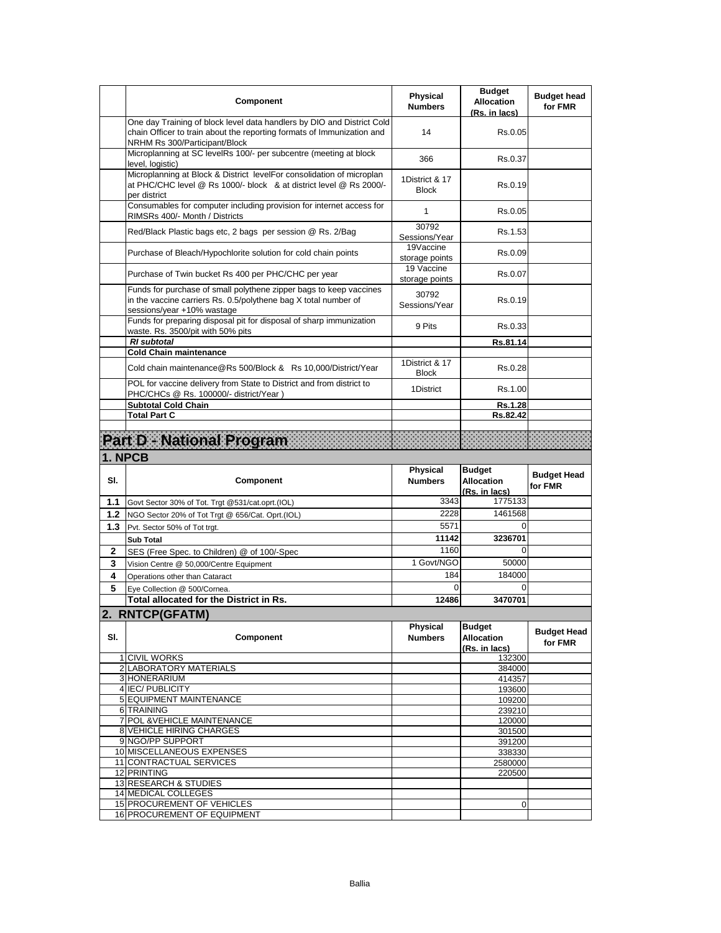|     | Component                                                                                                                                                                         | <b>Physical</b><br><b>Numbers</b> | <b>Budget</b><br><b>Allocation</b><br>(Rs. in lacs) | <b>Budget head</b><br>for FMR |
|-----|-----------------------------------------------------------------------------------------------------------------------------------------------------------------------------------|-----------------------------------|-----------------------------------------------------|-------------------------------|
|     | One day Training of block level data handlers by DIO and District Cold<br>chain Officer to train about the reporting formats of Immunization and<br>NRHM Rs 300/Participant/Block | 14                                | Rs.0.05                                             |                               |
|     | Microplanning at SC levelRs 100/- per subcentre (meeting at block<br>level, logistic)                                                                                             | 366                               | Rs.0.37                                             |                               |
|     | Microplanning at Block & District levelFor consolidation of microplan<br>at PHC/CHC level @ Rs 1000/- block & at district level @ Rs 2000/-<br>per district                       | 1District & 17<br><b>Block</b>    | Rs.0.19                                             |                               |
|     | Consumables for computer including provision for internet access for<br>RIMSRs 400/- Month / Districts                                                                            | 1                                 | Rs.0.05                                             |                               |
|     | Red/Black Plastic bags etc, 2 bags per session @ Rs. 2/Bag                                                                                                                        | 30792<br>Sessions/Year            | Rs.1.53                                             |                               |
|     | Purchase of Bleach/Hypochlorite solution for cold chain points                                                                                                                    | 19Vaccine<br>storage points       | Rs.0.09                                             |                               |
|     | Purchase of Twin bucket Rs 400 per PHC/CHC per year                                                                                                                               | 19 Vaccine<br>storage points      | Rs.0.07                                             |                               |
|     | Funds for purchase of small polythene zipper bags to keep vaccines<br>in the vaccine carriers Rs. 0.5/polythene bag X total number of<br>sessions/year +10% wastage               | 30792<br>Sessions/Year            | Rs.0.19                                             |                               |
|     | Funds for preparing disposal pit for disposal of sharp immunization<br>waste. Rs. 3500/pit with 50% pits                                                                          | 9 Pits                            | Rs.0.33                                             |                               |
|     | <b>RI</b> subtotal                                                                                                                                                                |                                   | Rs.81.14                                            |                               |
|     | <b>Cold Chain maintenance</b><br>Cold chain maintenance@Rs 500/Block & Rs 10,000/District/Year                                                                                    | 1District & 17                    | Rs.0.28                                             |                               |
|     | POL for vaccine delivery from State to District and from district to                                                                                                              | <b>Block</b><br>1District         | Rs.1.00                                             |                               |
|     | PHC/CHCs @ Rs. 100000/- district/Year)<br><b>Subtotal Cold Chain</b>                                                                                                              |                                   | Rs.1.28                                             |                               |
|     | <b>Total Part C</b>                                                                                                                                                               |                                   | Rs.82.42                                            |                               |
|     |                                                                                                                                                                                   |                                   |                                                     |                               |
|     | PartD - National Program                                                                                                                                                          |                                   |                                                     |                               |
|     |                                                                                                                                                                                   |                                   |                                                     |                               |
|     | 1. NPCB                                                                                                                                                                           |                                   |                                                     |                               |
| SI. | Component                                                                                                                                                                         | <b>Physical</b><br><b>Numbers</b> | <b>Budget</b><br><b>Allocation</b>                  | <b>Budget Head</b><br>for FMR |
| 1.1 | Govt Sector 30% of Tot. Trgt @531/cat.oprt.(IOL)                                                                                                                                  | 3343                              | (Rs. in lacs)<br>1775133                            |                               |
| 1.2 | NGO Sector 20% of Tot Trgt @ 656/Cat. Oprt.(IOL)                                                                                                                                  | 2228                              | 1461568                                             |                               |
| 1.3 | Pvt. Sector 50% of Tot trgt.                                                                                                                                                      | 5571                              | $\Omega$                                            |                               |
|     | <b>Sub Total</b>                                                                                                                                                                  | 11142                             | 3236701                                             |                               |
| 2   | SES (Free Spec. to Children) @ of 100/-Spec                                                                                                                                       | 1160                              | $\Omega$                                            |                               |
| 3   | Vision Centre @ 50,000/Centre Equipment                                                                                                                                           | 1 Govt/NGO                        | 50000                                               |                               |
| 4   | Operations other than Cataract                                                                                                                                                    | 184                               | 184000                                              |                               |
| 5   | Eye Collection @ 500/Cornea.                                                                                                                                                      | $\Omega$                          | 0                                                   |                               |
|     | Total allocated for the District in Rs.                                                                                                                                           | 12486                             | 3470701                                             |                               |
| SI. | 2. RNTCP(GFATM)<br>Component                                                                                                                                                      | Physical<br><b>Numbers</b>        | <b>Budget</b><br><b>Allocation</b><br>(Rs. in lacs) | <b>Budget Head</b><br>for FMR |
|     | 1 CIVIL WORKS                                                                                                                                                                     |                                   | 132300                                              |                               |
|     | 2 LABORATORY MATERIALS                                                                                                                                                            |                                   | 384000                                              |                               |
|     | 3 HONERARIUM<br>4 IEC/ PUBLICITY                                                                                                                                                  |                                   | 414357<br>193600                                    |                               |
|     | <b>5 EQUIPMENT MAINTENANCE</b>                                                                                                                                                    |                                   | 109200                                              |                               |
|     | 6 TRAINING                                                                                                                                                                        |                                   | 239210                                              |                               |
|     | 7 POL & VEHICLE MAINTENANCE<br><b>8 VEHICLE HIRING CHARGES</b>                                                                                                                    |                                   | 120000                                              |                               |
|     | 9 NGO/PP SUPPORT                                                                                                                                                                  |                                   | 301500<br>391200                                    |                               |
|     | 10 MISCELLANEOUS EXPENSES                                                                                                                                                         |                                   | 338330                                              |                               |
|     | 11 CONTRACTUAL SERVICES                                                                                                                                                           |                                   | 2580000                                             |                               |
|     | 12 PRINTING                                                                                                                                                                       |                                   | 220500                                              |                               |
|     | 13 RESEARCH & STUDIES<br>14 MEDICAL COLLEGES                                                                                                                                      |                                   |                                                     |                               |
|     | 15 PROCUREMENT OF VEHICLES<br>16 PROCUREMENT OF EQUIPMENT                                                                                                                         |                                   | 0                                                   |                               |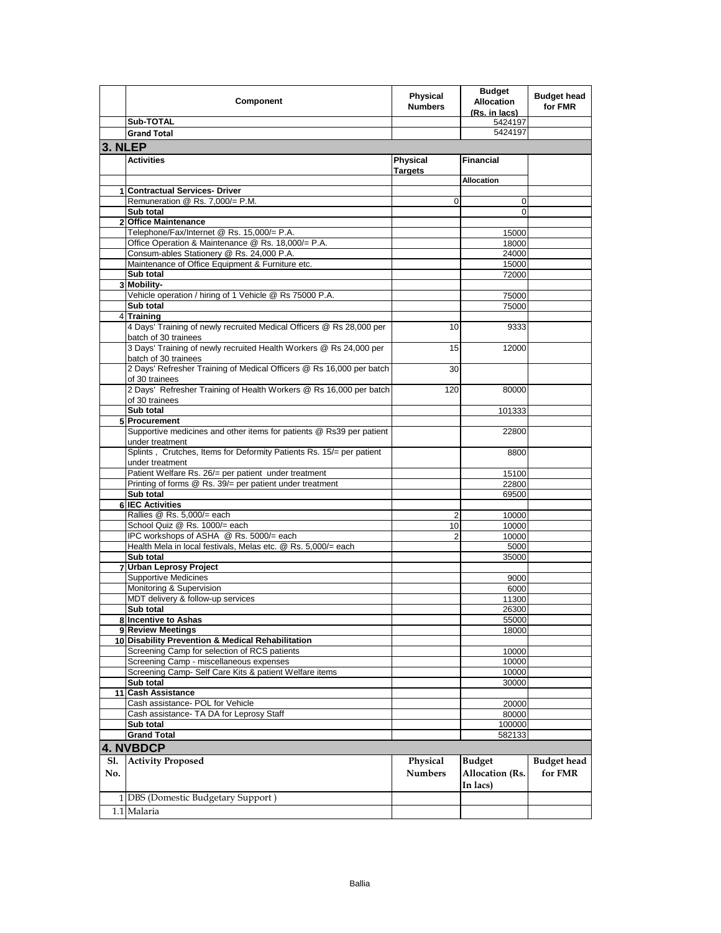|            | Component                                                                                                        | <b>Physical</b><br><b>Numbers</b> | <b>Budget</b><br><b>Allocation</b><br>(Rs. in lacs) | <b>Budget head</b><br>for FMR |
|------------|------------------------------------------------------------------------------------------------------------------|-----------------------------------|-----------------------------------------------------|-------------------------------|
|            | Sub-TOTAL                                                                                                        |                                   | 5424197                                             |                               |
|            | <b>Grand Total</b>                                                                                               |                                   | 5424197                                             |                               |
| 3. NLEP    |                                                                                                                  |                                   |                                                     |                               |
|            | <b>Activities</b>                                                                                                | <b>Physical</b><br><b>Targets</b> | <b>Financial</b>                                    |                               |
|            |                                                                                                                  |                                   | <b>Allocation</b>                                   |                               |
|            | 1 Contractual Services- Driver                                                                                   |                                   |                                                     |                               |
|            | Remuneration @ Rs. 7,000/= P.M.                                                                                  | 0                                 | 0                                                   |                               |
|            | Sub total                                                                                                        |                                   | 0                                                   |                               |
|            | 2 Office Maintenance<br>Telephone/Fax/Internet @ Rs. 15,000/= P.A.                                               |                                   | 15000                                               |                               |
|            | Office Operation & Maintenance @ Rs. 18,000/= P.A.                                                               |                                   | 18000                                               |                               |
|            | Consum-ables Stationery @ Rs. 24,000 P.A.                                                                        |                                   | 24000                                               |                               |
|            | Maintenance of Office Equipment & Furniture etc.                                                                 |                                   | 15000                                               |                               |
|            | Sub total                                                                                                        |                                   | 72000                                               |                               |
|            | 3 Mobility-                                                                                                      |                                   |                                                     |                               |
|            | Vehicle operation / hiring of 1 Vehicle @ Rs 75000 P.A.                                                          |                                   | 75000                                               |                               |
|            | Sub total                                                                                                        |                                   | 75000                                               |                               |
|            | 4 Training                                                                                                       |                                   |                                                     |                               |
|            | 4 Days' Training of newly recruited Medical Officers @ Rs 28,000 per<br>batch of 30 trainees                     | 10                                | 9333                                                |                               |
|            | 3 Days' Training of newly recruited Health Workers @ Rs 24,000 per<br>batch of 30 trainees                       | 15                                | 12000                                               |                               |
|            | 2 Days' Refresher Training of Medical Officers @ Rs 16,000 per batch<br>of 30 trainees                           | 30                                |                                                     |                               |
|            | 2 Days' Refresher Training of Health Workers @ Rs 16,000 per batch<br>of 30 trainees                             | 120                               | 80000                                               |                               |
|            | Sub total                                                                                                        |                                   | 101333                                              |                               |
|            | 5 Procurement                                                                                                    |                                   |                                                     |                               |
|            | Supportive medicines and other items for patients @ Rs39 per patient<br>under treatment                          |                                   | 22800                                               |                               |
|            | Splints, Crutches, Items for Deformity Patients Rs. 15/= per patient<br>under treatment                          |                                   | 8800                                                |                               |
|            | Patient Welfare Rs. 26/= per patient under treatment<br>Printing of forms @ Rs. 39/= per patient under treatment |                                   | 15100                                               |                               |
|            | Sub total                                                                                                        |                                   | 22800<br>69500                                      |                               |
|            | 6 IEC Activities                                                                                                 |                                   |                                                     |                               |
|            | Rallies @ Rs. 5,000/= each                                                                                       | 2                                 | 10000                                               |                               |
|            | School Quiz @ Rs. 1000/= each                                                                                    | 10                                | 10000                                               |                               |
|            | IPC workshops of ASHA @ Rs. 5000/= each                                                                          |                                   | 10000                                               |                               |
|            | Health Mela in local festivals, Melas etc. @ Rs. 5,000/= each                                                    |                                   | 5000                                                |                               |
|            | Sub total                                                                                                        |                                   | 35000                                               |                               |
|            | 7 Urban Leprosy Project                                                                                          |                                   |                                                     |                               |
|            | <b>Supportive Medicines</b>                                                                                      |                                   | 9000                                                |                               |
|            | Monitoring & Supervision                                                                                         |                                   | 6000                                                |                               |
|            | MDT delivery & follow-up services<br>Sub total                                                                   |                                   | 11300<br>26300                                      |                               |
|            | 8 Incentive to Ashas                                                                                             |                                   | 55000                                               |                               |
|            | 9 Review Meetings                                                                                                |                                   | 18000                                               |                               |
|            | 10 Disability Prevention & Medical Rehabilitation                                                                |                                   |                                                     |                               |
|            | Screening Camp for selection of RCS patients                                                                     |                                   | 10000                                               |                               |
|            | Screening Camp - miscellaneous expenses                                                                          |                                   | 10000                                               |                               |
|            | Screening Camp- Self Care Kits & patient Welfare items                                                           |                                   | 10000                                               |                               |
|            | Sub total                                                                                                        |                                   | 30000                                               |                               |
|            | 11 Cash Assistance                                                                                               |                                   |                                                     |                               |
|            | Cash assistance- POL for Vehicle                                                                                 |                                   | 20000                                               |                               |
|            | Cash assistance- TA DA for Leprosy Staff                                                                         |                                   | 80000                                               |                               |
|            | Sub total                                                                                                        |                                   | 100000                                              |                               |
|            | <b>Grand Total</b>                                                                                               |                                   | 582133                                              |                               |
|            | <b>4. NVBDCP</b>                                                                                                 |                                   |                                                     |                               |
| Sl.<br>No. | <b>Activity Proposed</b>                                                                                         | Physical<br><b>Numbers</b>        | <b>Budget</b><br><b>Allocation (Rs.</b>             | <b>Budget head</b><br>for FMR |
|            |                                                                                                                  |                                   | In lacs)                                            |                               |
|            | 1 DBS (Domestic Budgetary Support)                                                                               |                                   |                                                     |                               |
|            | 1.1 Malaria                                                                                                      |                                   |                                                     |                               |
|            |                                                                                                                  |                                   |                                                     |                               |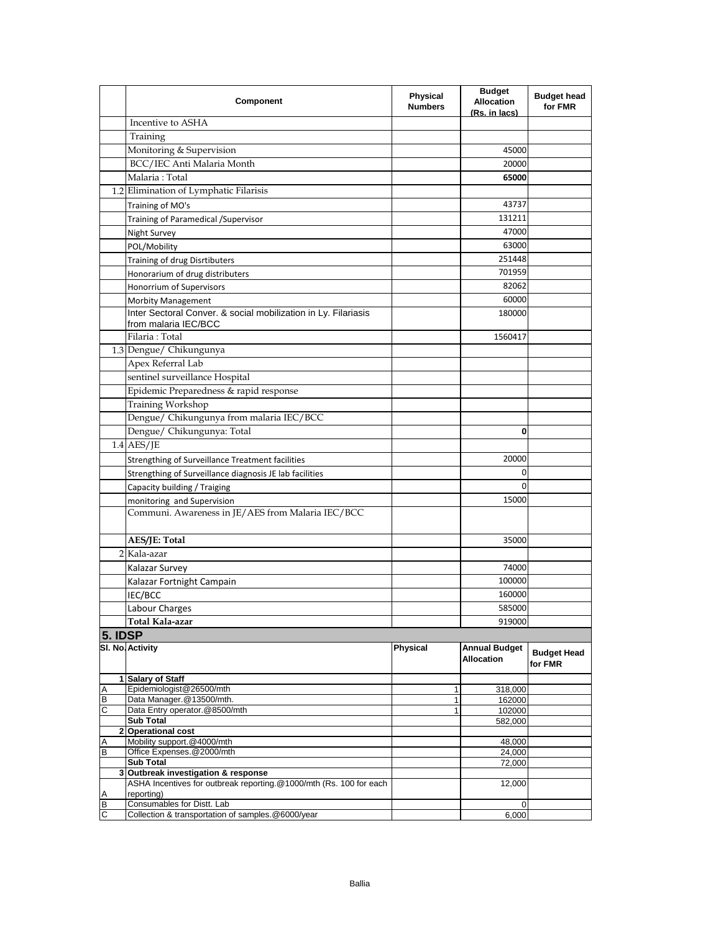|         | Component                                                                                   | <b>Physical</b><br><b>Numbers</b> | <b>Budget</b><br><b>Allocation</b><br>(Rs. in lacs) | <b>Budget head</b><br>for FMR |
|---------|---------------------------------------------------------------------------------------------|-----------------------------------|-----------------------------------------------------|-------------------------------|
|         | Incentive to ASHA                                                                           |                                   |                                                     |                               |
|         | Training                                                                                    |                                   |                                                     |                               |
|         | Monitoring & Supervision                                                                    |                                   | 45000                                               |                               |
|         | BCC/IEC Anti Malaria Month                                                                  |                                   | 20000                                               |                               |
|         | Malaria: Total                                                                              |                                   | 65000                                               |                               |
|         | 1.2 Elimination of Lymphatic Filarisis                                                      |                                   |                                                     |                               |
|         | Training of MO's                                                                            |                                   | 43737                                               |                               |
|         | Training of Paramedical / Supervisor                                                        |                                   | 131211                                              |                               |
|         | Night Survey                                                                                |                                   | 47000                                               |                               |
|         | POL/Mobility                                                                                |                                   | 63000                                               |                               |
|         | Training of drug Disrtibuters                                                               |                                   | 251448                                              |                               |
|         | Honorarium of drug distributers                                                             |                                   | 701959                                              |                               |
|         | Honorrium of Supervisors                                                                    |                                   | 82062                                               |                               |
|         |                                                                                             |                                   | 60000                                               |                               |
|         | <b>Morbity Management</b><br>Inter Sectoral Conver. & social mobilization in Ly. Filariasis |                                   | 180000                                              |                               |
|         | from malaria IEC/BCC                                                                        |                                   |                                                     |                               |
|         | Filaria: Total                                                                              |                                   | 1560417                                             |                               |
|         | 1.3 Dengue/ Chikungunya                                                                     |                                   |                                                     |                               |
|         | Apex Referral Lab                                                                           |                                   |                                                     |                               |
|         | sentinel surveillance Hospital                                                              |                                   |                                                     |                               |
|         | Epidemic Preparedness & rapid response                                                      |                                   |                                                     |                               |
|         | Training Workshop                                                                           |                                   |                                                     |                               |
|         | Dengue/ Chikungunya from malaria IEC/BCC                                                    |                                   |                                                     |                               |
|         | Dengue/ Chikungunya: Total                                                                  |                                   | 0                                                   |                               |
|         |                                                                                             |                                   |                                                     |                               |
|         | $1.4$ AES/JE                                                                                |                                   |                                                     |                               |
|         | Strengthing of Surveillance Treatment facilities                                            |                                   | 20000                                               |                               |
|         | Strengthing of Surveillance diagnosis JE lab facilities                                     |                                   | 0                                                   |                               |
|         | Capacity building / Traiging                                                                |                                   | 0                                                   |                               |
|         | monitoring and Supervision                                                                  |                                   | 15000                                               |                               |
|         | Communi. Awareness in JE/AES from Malaria IEC/BCC                                           |                                   |                                                     |                               |
|         | AES/JE: Total                                                                               |                                   | 35000                                               |                               |
|         | 2 Kala-azar                                                                                 |                                   |                                                     |                               |
|         | Kalazar Survey                                                                              |                                   | 74000                                               |                               |
|         | Kalazar Fortnight Campain                                                                   |                                   | 100000                                              |                               |
|         | IEC/BCC                                                                                     |                                   | 160000                                              |                               |
|         | Labour Charges                                                                              |                                   | 585000                                              |                               |
|         | Total Kala-azar                                                                             |                                   | 919000                                              |                               |
| 5. IDSP |                                                                                             |                                   |                                                     |                               |
|         | SI. No. Activity                                                                            | <b>Physical</b>                   | <b>Annual Budget</b><br><b>Allocation</b>           | <b>Budget Head</b><br>for FMR |
|         | 1 Salary of Staff                                                                           |                                   |                                                     |                               |
| Α       | Epidemiologist@26500/mth                                                                    | 1                                 | 318,000                                             |                               |
| B<br>C  | Data Manager. @13500/mth.<br>Data Entry operator. @8500/mth                                 | $\mathbf{1}$<br>1                 | 162000<br>102000                                    |                               |
|         | <b>Sub Total</b>                                                                            |                                   | 582,000                                             |                               |
|         | 2 Operational cost                                                                          |                                   |                                                     |                               |
| Α       | Mobility support.@4000/mth                                                                  |                                   | 48,000                                              |                               |
| Β       | Office Expenses.@2000/mth<br>Sub Total                                                      |                                   | 24,000<br>72,000                                    |                               |
|         | 3 Outbreak investigation & response                                                         |                                   |                                                     |                               |
|         | ASHA Incentives for outbreak reporting.@1000/mth (Rs. 100 for each                          |                                   | 12,000                                              |                               |
| Α       | reporting)                                                                                  |                                   |                                                     |                               |
| B<br>С  | Consumables for Distt. Lab<br>Collection & transportation of samples.@6000/year             |                                   | 0<br>6,000                                          |                               |